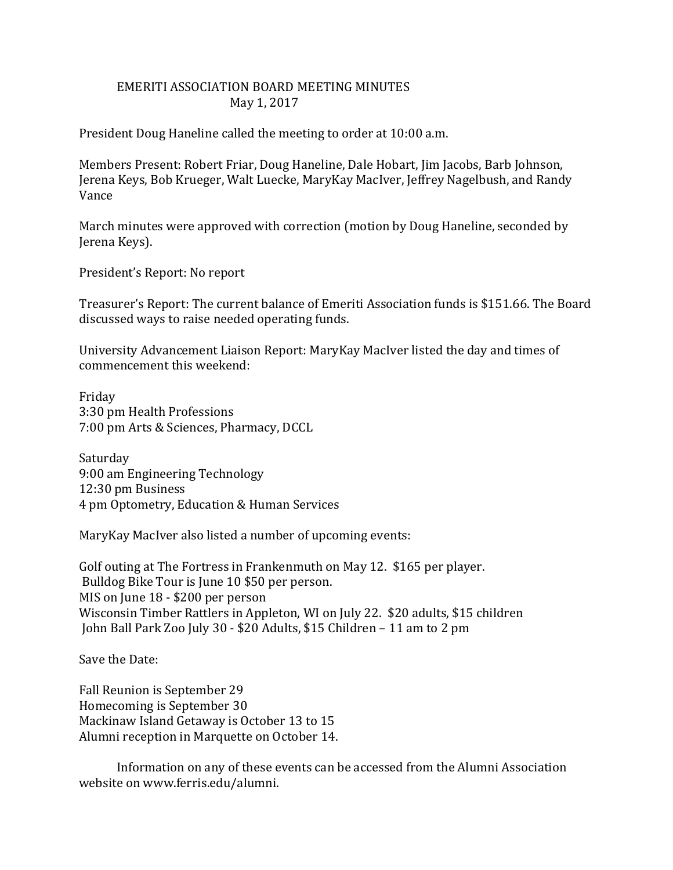## EMERITI ASSOCIATION BOARD MEETING MINUTES May 1, 2017

President Doug Haneline called the meeting to order at 10:00 a.m.

Members Present: Robert Friar, Doug Haneline, Dale Hobart, Jim Jacobs, Barb Johnson, Jerena Keys, Bob Krueger, Walt Luecke, MaryKay MacIver, Jeffrey Nagelbush, and Randy Vance

March minutes were approved with correction (motion by Doug Haneline, seconded by Jerena Keys).

President's Report: No report

Treasurer's Report: The current balance of Emeriti Association funds is \$151.66. The Board discussed ways to raise needed operating funds.

University Advancement Liaison Report: MaryKay MacIver listed the day and times of commencement this weekend:

Friday 3:30 pm Health Professions 7:00 pm Arts & Sciences, Pharmacy, DCCL

Saturday 9:00 am Engineering Technology 12:30 pm Business 4 pm Optometry, Education & Human Services

MaryKay MacIver also listed a number of upcoming events:

Golf outing at The Fortress in Frankenmuth on May 12. \$165 per player. Bulldog Bike Tour is June 10 \$50 per person. MIS on June 18 - \$200 per person Wisconsin Timber Rattlers in Appleton, WI on July 22. \$20 adults, \$15 children John Ball Park Zoo July 30 - \$20 Adults, \$15 Children – 11 am to 2 pm

Save the Date:

Fall Reunion is September 29 Homecoming is September 30 Mackinaw Island Getaway is October 13 to 15 Alumni reception in Marquette on October 14.

 Information on any of these events can be accessed from the Alumni Association website on www.ferris.edu/alumni.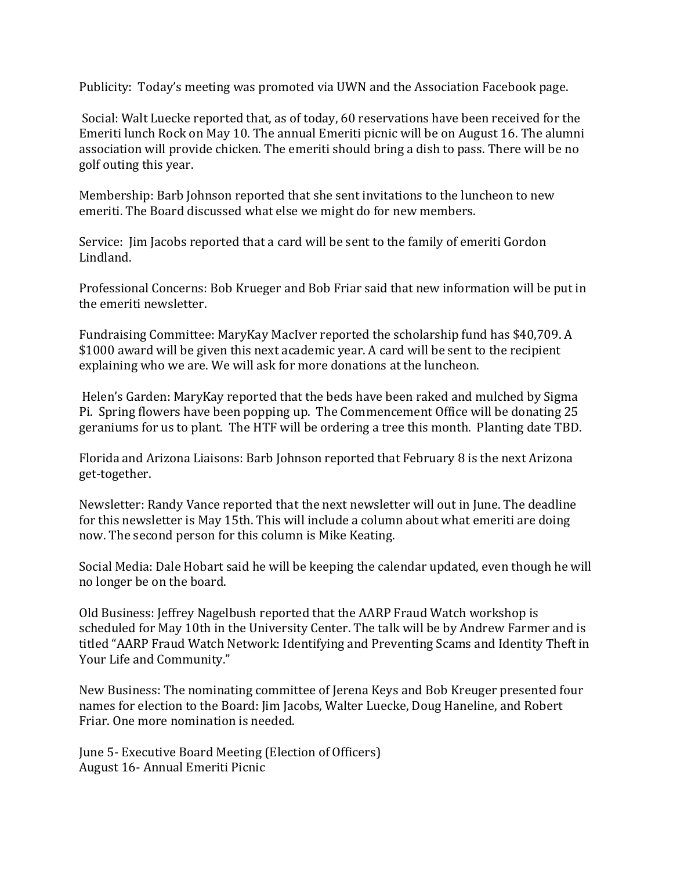Publicity: Today's meeting was promoted via UWN and the Association Facebook page.

Social: Walt Luecke reported that, as of today, 60 reservations have been received for the Emeriti lunch Rock on May 10. The annual Emeriti picnic will be on August 16. The alumni association will provide chicken. The emeriti should bring a dish to pass. There will be no golf outing this year.

Membership: Barb Johnson reported that she sent invitations to the luncheon to new emeriti. The Board discussed what else we might do for new members.

Service: Jim Jacobs reported that a card will be sent to the family of emeriti Gordon Lindland.

Professional Concerns: Bob Krueger and Bob Friar said that new information will be put in the emeriti newsletter.

Fundraising Committee: MaryKay MacIver reported the scholarship fund has \$40,709. A \$1000 award will be given this next academic year. A card will be sent to the recipient explaining who we are. We will ask for more donations at the luncheon.

Helen's Garden: MaryKay reported that the beds have been raked and mulched by Sigma Pi. Spring flowers have been popping up. The Commencement Office will be donating 25 geraniums for us to plant. The HTF will be ordering a tree this month. Planting date TBD.

Florida and Arizona Liaisons: Barb Johnson reported that February 8 is the next Arizona get-together.

Newsletter: Randy Vance reported that the next newsletter will out in June. The deadline for this newsletter is May 15th. This will include a column about what emeriti are doing now. The second person for this column is Mike Keating.

Social Media: Dale Hobart said he will be keeping the calendar updated, even though he will no longer be on the board.

Old Business: Jeffrey Nagelbush reported that the AARP Fraud Watch workshop is scheduled for May 10th in the University Center. The talk will be by Andrew Farmer and is titled "AARP Fraud Watch Network: Identifying and Preventing Scams and Identity Theft in Your Life and Community."

New Business: The nominating committee of Jerena Keys and Bob Kreuger presented four names for election to the Board: Jim Jacobs, Walter Luecke, Doug Haneline, and Robert Friar. One more nomination is needed.

June 5- Executive Board Meeting (Election of Officers) August 16- Annual Emeriti Picnic